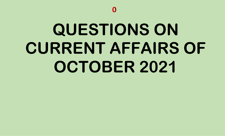$\bf{0}$ 

# **QUESTIONS ON CURRENT AFFAIRS OF OCTOBER 2021**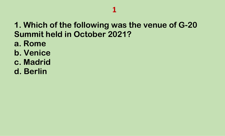**1. Which of the following was the venue of G-20 Summit held in October 2021? a. Rome b. Venice**

- **c. Madrid**
- **d. Berlin**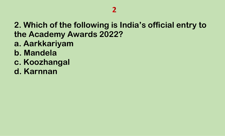**2. Which of the following is India's official entry to the Academy Awards 2022? a. Aarkkariyam**

- **b. Mandela**
- **c. Koozhangal**
- **d. Karnnan**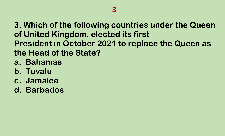**3. Which of the following countries under the Queen of United Kingdom, elected its first President in October 2021 to replace the Queen as the Head of the State?**

- **a. Bahamas**
- **b. Tuvalu**
- **c. Jamaica**
- **d. Barbados**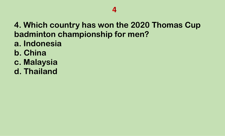**4. Which country has won the 2020 Thomas Cup badminton championship for men?**

- **a. Indonesia**
- **b. China**
- **c. Malaysia**
- **d. Thailand**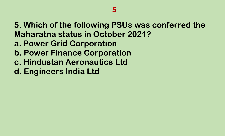**5. Which of the following PSUs was conferred the Maharatna status in October 2021?**

- **a. Power Grid Corporation**
- **b. Power Finance Corporation**
- **c. Hindustan Aeronautics Ltd**
- **d. Engineers India Ltd**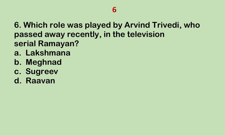**6. Which role was played by Arvind Trivedi, who passed away recently, in the television serial Ramayan?**

- **a. Lakshmana**
- **b. Meghnad**
- **c. Sugreev**
- **d. Raavan**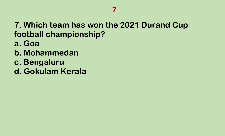# **7. Which team has won the 2021 Durand Cup football championship?**

- **a. Goa**
- **b. Mohammedan**
- **c. Bengaluru**
- **d. Gokulam Kerala**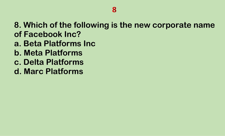**8. Which of the following is the new corporate name of Facebook Inc?**

- **a. Beta Platforms Inc**
- **b. Meta Platforms**
- **c. Delta Platforms**
- **d. Marc Platforms**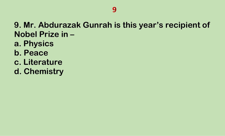**9. Mr. Abdurazak Gunrah is this year's recipient of Nobel Prize in –**

- **a. Physics**
- **b. Peace**
- **c. Literature**
- **d. Chemistry**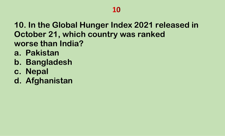**10. In the Global Hunger Index 2021 released in October 21, which country was ranked worse than India?**

- **a. Pakistan**
- **b. Bangladesh**
- **c. Nepal**
- **d. Afghanistan**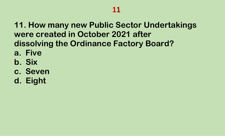**11. How many new Public Sector Undertakings were created in October 2021 after dissolving the Ordinance Factory Board? a. Five**

- **b. Six**
- **c. Seven**
- **d. Eight**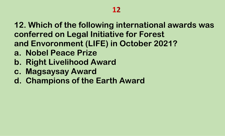**12. Which of the following international awards was conferred on Legal Initiative for Forest and Envoronment (LIFE) in October 2021?**

- **a. Nobel Peace Prize**
- **b. Right Livelihood Award**
- **c. Magsaysay Award**
- **d. Champions of the Earth Award**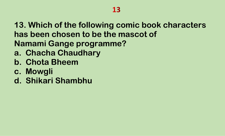**13. Which of the following comic book characters has been chosen to be the mascot of Namami Gange programme? a. Chacha Chaudhary b. Chota Bheem c. Mowgli**

**d. Shikari Shambhu**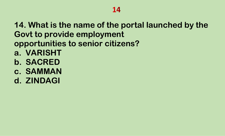**14. What is the name of the portal launched by the Govt to provide employment opportunities to senior citizens? a. VARISHT b. SACRED c. SAMMAN**

**d. ZINDAGI**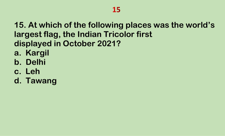**15. At which of the following places was the world's largest flag, the Indian Tricolor first displayed in October 2021? a. Kargil b. Delhi**

- **c. Leh**
- **d. Tawang**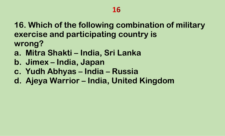**16. Which of the following combination of military exercise and participating country is wrong?**

- **a. Mitra Shakti – India, Sri Lanka**
- **b. Jimex – India, Japan**
- **c. Yudh Abhyas – India – Russia**
- **d. Ajeya Warrior – India, United Kingdom**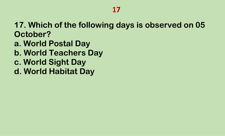**17. Which of the following days is observed on 05 October?**

**a. World Postal Day**

**b. World Teachers Day**

**c. World Sight Day**

**d. World Habitat Day**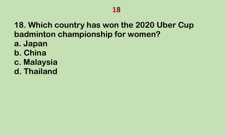**18. Which country has won the 2020 Uber Cup badminton championship for women?**

- **a. Japan**
- **b. China**
- **c. Malaysia**
- **d. Thailand**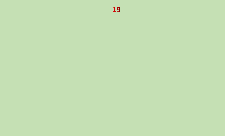